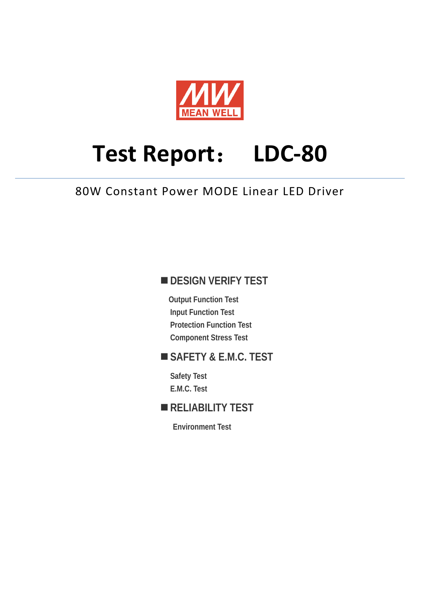

# **Test Report**: **LDC-80**

## 80W Constant Power MODE Linear LED Driver

## **DESIGN VERIFY TEST**

**Output Function Test Input Function Test Protection Function Test Component Stress Test** 

## **SAFETY & E.M.C. TEST**

**Safety Test E.M.C. Test** 

## **RELIABILITY TEST**

**Environment Test**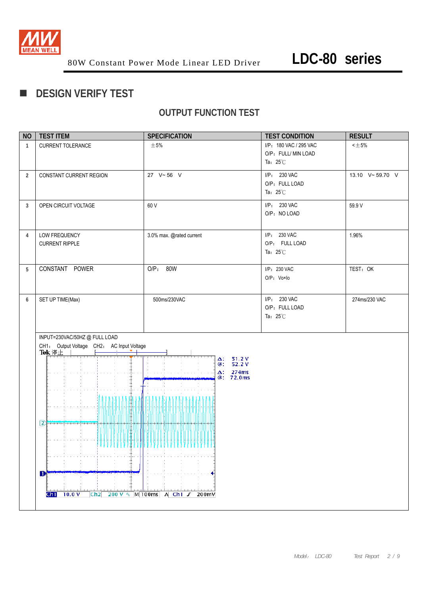

## **DESIGN VERIFY TEST**

### **OUTPUT FUNCTION TEST**

| <b>NO</b>      | <b>TEST ITEM</b>                                   | <b>SPECIFICATION</b>                   | <b>TEST CONDITION</b>  | <b>RESULT</b>   |
|----------------|----------------------------------------------------|----------------------------------------|------------------------|-----------------|
| $\mathbf{1}$   | CURRENT TOLERANCE                                  | $\pm$ 5%                               | I/P: 180 VAC / 295 VAC | $<\pm 5\%$      |
|                |                                                    |                                        | O/P: FULL/ MIN LOAD    |                 |
|                |                                                    |                                        | Ta: $25^{\circ}$ C     |                 |
| $\overline{2}$ | CONSTANT CURRENT REGION                            | 27 V~56 V                              | I/P: 230 VAC           | 13.10 V~59.70 V |
|                |                                                    |                                        | O/P: FULL LOAD         |                 |
|                |                                                    |                                        | Ta: $25^{\circ}$ C     |                 |
| 3              | OPEN CIRCUIT VOLTAGE                               | 60 V                                   | I/P: 230 VAC           | 59.9 V          |
|                |                                                    |                                        | O/P: NO LOAD           |                 |
|                |                                                    |                                        |                        |                 |
| 4              | LOW FREQUENCY                                      | 3.0% max. @rated current               | I/P: 230 VAC           | 1.96%           |
|                | <b>CURRENT RIPPLE</b>                              |                                        | O/P: FULL LOAD         |                 |
|                |                                                    |                                        | Ta: $25^{\circ}$ C     |                 |
|                |                                                    |                                        |                        |                 |
| 5              | CONSTANT POWER                                     | $O/P$ :<br>80W                         | I/P: 230 VAC           | TEST: OK        |
|                |                                                    |                                        | O/P: Vo×lo             |                 |
|                |                                                    |                                        |                        |                 |
| 6              | SET UP TIME(Max)                                   | 500ms/230VAC                           | I/P: 230 VAC           | 274ms/230 VAC   |
|                |                                                    |                                        | O/P: FULL LOAD         |                 |
|                |                                                    |                                        | Ta: $25^{\circ}$ C     |                 |
|                |                                                    |                                        |                        |                 |
|                | INPUT=230VAC/50HZ @ FULL LOAD                      |                                        |                        |                 |
|                | CH1: Output Voltage CH2: AC Input Voltage<br>Tek停止 |                                        |                        |                 |
|                |                                                    | 51.2V<br>Δ:<br>52.2V                   |                        |                 |
|                |                                                    | @:<br>274ms<br>$\Delta$ :              |                        |                 |
|                |                                                    | 72.0ms<br>@∶                           |                        |                 |
|                |                                                    |                                        |                        |                 |
|                | П                                                  |                                        |                        |                 |
|                |                                                    |                                        |                        |                 |
|                | $2$ then then                                      |                                        |                        |                 |
|                |                                                    |                                        |                        |                 |
|                |                                                    |                                        |                        |                 |
|                |                                                    |                                        |                        |                 |
|                |                                                    |                                        |                        |                 |
|                |                                                    |                                        |                        |                 |
|                | D                                                  |                                        |                        |                 |
|                |                                                    |                                        |                        |                 |
|                | $Ch1$ 10.0 V                                       | Ch2 200 V $\sim$ M 100ms A Ch1 J 200mV |                        |                 |
|                |                                                    |                                        |                        |                 |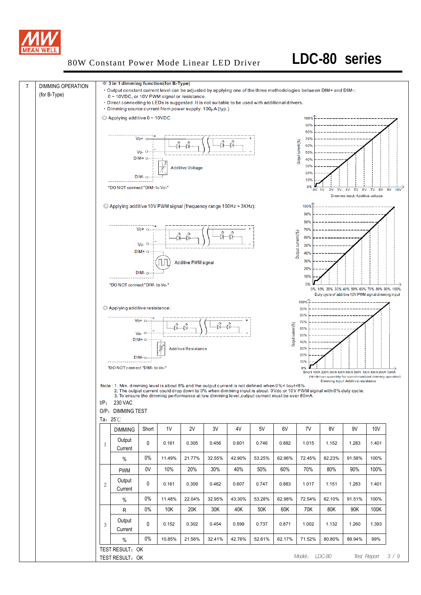

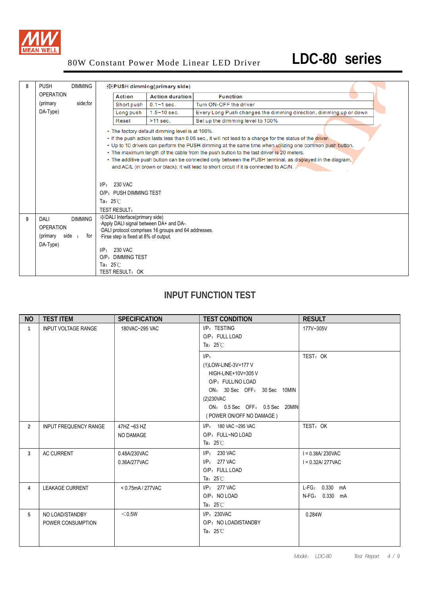

| 8 | <b>PUSH</b>                                                | <b>DIMMING</b>        |                                                                                                                                                                                                          | <b>EXPUSH dimming(primary side)</b>                 |                                                                                                                                                                                                                                                                                                                                                                                                                                                                                                                         |
|---|------------------------------------------------------------|-----------------------|----------------------------------------------------------------------------------------------------------------------------------------------------------------------------------------------------------|-----------------------------------------------------|-------------------------------------------------------------------------------------------------------------------------------------------------------------------------------------------------------------------------------------------------------------------------------------------------------------------------------------------------------------------------------------------------------------------------------------------------------------------------------------------------------------------------|
|   | <b>OPERATION</b>                                           |                       | <b>Action</b>                                                                                                                                                                                            | <b>Action duration</b>                              | <b>Function</b>                                                                                                                                                                                                                                                                                                                                                                                                                                                                                                         |
|   | (primary                                                   | side;for              | Short push                                                                                                                                                                                               | $0.1 - 1$ sec.                                      | Turn ON-OFF the driver                                                                                                                                                                                                                                                                                                                                                                                                                                                                                                  |
|   | DA-Type)                                                   |                       | Long push                                                                                                                                                                                                | $1.5 - 10$ sec.                                     | Every Long Push changes the dimming direction, dimming up or down                                                                                                                                                                                                                                                                                                                                                                                                                                                       |
|   |                                                            |                       | Reset                                                                                                                                                                                                    | $>11$ sec.                                          | Set up the dimming level to 100%                                                                                                                                                                                                                                                                                                                                                                                                                                                                                        |
|   |                                                            |                       | $I/P: 230$ VAC<br>O/P: PUSH DIMMING TEST<br>Ta: $25^\circ\text{C}$<br><b>TEST RESULT:</b>                                                                                                                | • The factory default dimming level is at 100%.     | . If the push action lasts less than 0.05 sec., it will not lead to a change for the status of the driver.<br>• Up to 10 drivers can perform the PUSH dimming at the same time when utilizing one common push button.<br>• The maximum length of the cable from the push button to the last driver is 20 meters.<br>. The additive push button can be connected only between the PUSH terminal, as displayed in the diagram,<br>and AC/L (in brown or black); it will lead to short circuit if it is connected to AC/N. |
| 9 | DALI<br><b>OPERATION</b><br>(primary<br>side ;<br>DA-Type) | <b>DIMMING</b><br>for | <b>EX</b> DALI Interface(primary side)<br>Apply DALI signal between DA+ and DA-.<br>· Firse step is fixed at 8% of output.<br>$I/P: 230$ VAC<br>O/P: DIMMING TEST<br>Ta: $25^\circ C$<br>TEST RESULT: OK | DALI protocol comprises 16 groups and 64 addresses. |                                                                                                                                                                                                                                                                                                                                                                                                                                                                                                                         |

## **INPUT FUNCTION TEST**

| <b>NO</b>      | <b>TEST ITEM</b>                     | <b>SPECIFICATION</b>         | <b>TEST CONDITION</b>                                                                                                                                                                   | <b>RESULT</b>                            |
|----------------|--------------------------------------|------------------------------|-----------------------------------------------------------------------------------------------------------------------------------------------------------------------------------------|------------------------------------------|
| $\mathbf{1}$   | <b>INPUT VOLTAGE RANGE</b>           | 180VAC~295 VAC               | I/P: TESTING<br>O/P: FULL LOAD<br>Ta: $25^\circ\text{C}$                                                                                                                                | 177V~305V                                |
|                |                                      |                              | $I/P$ :<br>(1) LOW-LINE-3V=177 V<br>HIGH-LINE+10V=305 V<br>O/P: FULL/NO LOAD<br>ON: 30 Sec OFF: 30 Sec 10MIN<br>(2)230VAC<br>ON: 0.5 Sec OFF: 0.5 Sec 20MIN<br>(POWER ON/OFF NO DAMAGE) | TEST: OK                                 |
| $\overline{2}$ | <b>INPUT FREQUENCY RANGE</b>         | 47HZ ~63 HZ<br>NO DAMAGE     | I/P: 180 VAC ~295 VAC<br>O/P: FULL~NO LOAD<br>Ta: $25^\circ\text{C}$                                                                                                                    | TEST: OK                                 |
| $\overline{3}$ | <b>AC CURRENT</b>                    | 0.48A/230VAC<br>0.36A/277VAC | $I/P: 230$ VAC<br>$I/P: 277 \text{ VAC}$<br>O/P: FULL LOAD<br>Ta: $25^\circ\text{C}$                                                                                                    | $I = 0.38A/230VAC$<br>$I = 0.32A/277VAC$ |
| 4              | <b>LEAKAGE CURRENT</b>               | < 0.75mA / 277VAC            | I/P: 277 VAC<br>O/P: NO LOAD<br>Ta: $25^{\circ}$ C                                                                                                                                      | L-FG: 0.330 mA<br>N-FG: 0.330 mA         |
| 5              | NO LOAD/STANDBY<br>POWER CONSUMPTION | $<$ 0.5W                     | I/P: 230VAC<br>O/P: NO LOAD/STANDBY<br>Ta: $25^{\circ}$ C                                                                                                                               | 0.284W                                   |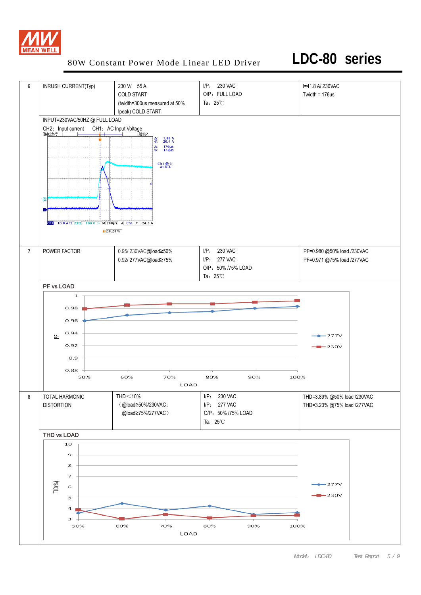

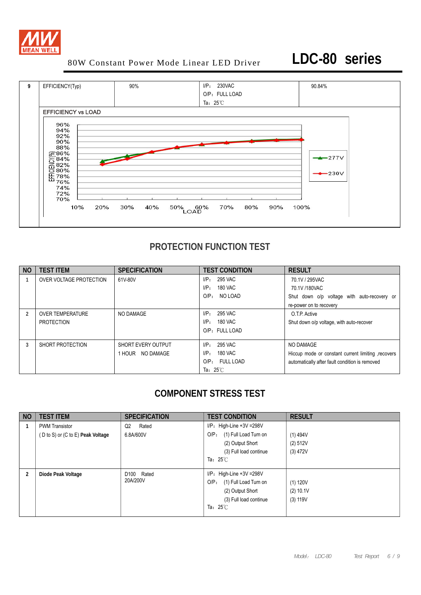



## **PROTECTION FUNCTION TEST**

| <b>NO</b> | <b>TEST ITEM</b>                      | <b>SPECIFICATION</b>                      | <b>TEST CONDITION</b>                                                                            | <b>RESULT</b>                                                                                                      |
|-----------|---------------------------------------|-------------------------------------------|--------------------------------------------------------------------------------------------------|--------------------------------------------------------------------------------------------------------------------|
|           | OVER VOLTAGE PROTECTION               | 61V-80V                                   | 295 VAC<br>I/P:<br>180 VAC<br>$I/P$ :<br>O/P <sub>z</sub><br>NO LOAD                             | 70.1V / 295VAC<br>70.1V /180VAC<br>Shut down o/p voltage with auto-recovery or                                     |
|           |                                       |                                           |                                                                                                  | re-power on to recovery                                                                                            |
| 2         | <b>OVER TEMPERATURE</b><br>PROTECTION | NO DAMAGE                                 | 295 VAC<br>$I/P$ :<br>180 VAC<br>$I/P$ :<br>O/P: FULL LOAD                                       | O.T.P. Active<br>Shut down o/p voltage, with auto-recover                                                          |
|           | SHORT PROTECTION                      | SHORT EVERY OUTPUT<br>NO DAMAGE<br>1 HOUR | 295 VAC<br>I/P:<br>180 VAC<br>$I/P$ :<br>$O/P_{\odot}$<br><b>FULL LOAD</b><br>Ta: $25^{\circ}$ C | NO DAMAGE<br>Hiccup mode or constant current limiting , recovers<br>automatically after fault condition is removed |

## **COMPONENT STRESS TEST**

| <b>NO</b> | <b>TEST ITEM</b>                                           | <b>SPECIFICATION</b>               | <b>TEST CONDITION</b>                                                                                                                         | <b>RESULT</b>                        |
|-----------|------------------------------------------------------------|------------------------------------|-----------------------------------------------------------------------------------------------------------------------------------------------|--------------------------------------|
|           | <b>PWM Transistor</b><br>(D to S) or (C to E) Peak Voltage | Rated<br>Q2<br>6.8A/600V           | $I/P$ : High-Line +3V = 298V<br>(1) Full Load Turn on<br>O/P <sub>z</sub><br>(2) Output Short<br>(3) Full load continue<br>Ta: $25^{\circ}$ C | $(1)$ 494V<br>(2) 512V<br>$(3)$ 472V |
| 2         | Diode Peak Voltage                                         | D <sub>100</sub> Rated<br>20A/200V | $I/P$ : High-Line +3V = 298V<br>(1) Full Load Turn on<br>$O/P$ :<br>(2) Output Short<br>(3) Full load continue<br>Ta: $25^\circ\text{C}$      | $(1)$ 120V<br>(2) 10.1V<br>(3) 119V  |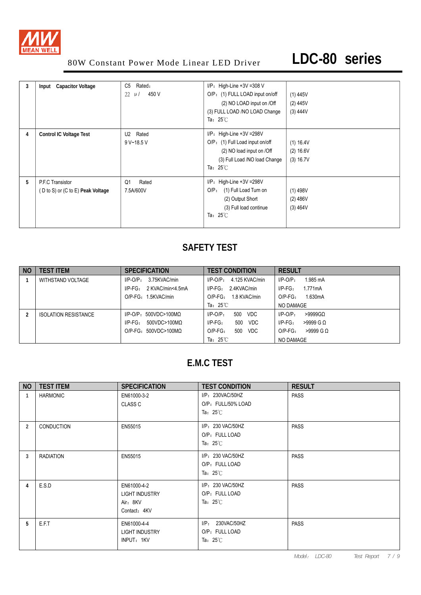

| 3 | <b>Capacitor Voltage</b><br>Input                     | Rated:<br>C5<br>450 V<br>22<br>$\mu$ / | $I/P$ : High-Line +3V =308 V<br>O/P: (1) FULL LOAD input on/off<br>(2) NO LOAD input on /Off<br>(3) FULL LOAD /NO LOAD Change<br>Ta: $25^\circ\text{C}$ | $(1)$ 445V<br>$(2)$ 445V<br>(3) 444V |
|---|-------------------------------------------------------|----------------------------------------|---------------------------------------------------------------------------------------------------------------------------------------------------------|--------------------------------------|
| 4 | <b>Control IC Voltage Test</b>                        | Rated<br>U2<br>9 V~18.5 V              | $I/P$ : High-Line +3V = 298V<br>O/P: (1) Full Load input on/off<br>(2) NO load input on /Off<br>(3) Full Load /NO load Change<br>Ta: $25^{\circ}$ C     | (1) 16.4V<br>(2) 16.6V<br>(3) 16.7V  |
| 5 | P.F.C Transistor<br>(D to S) or (C to E) Peak Voltage | Rated<br>Q1<br>7.5A/600V               | I/P: High-Line +3V =298V<br>(1) Full Load Turn on<br>$O/P$ :<br>(2) Output Short<br>(3) Full load continue<br>Ta: $25^\circ$ C                          | $(1)$ 498V<br>(2) 486V<br>(3) 464V   |

## **SAFETY TEST**

| NO. | <b>TEST ITEM</b>            | <b>SPECIFICATION</b>           | <b>TEST CONDITION</b>            | <b>RESULT</b>             |
|-----|-----------------------------|--------------------------------|----------------------------------|---------------------------|
|     | WITHSTAND VOLTAGE           | 3.75KVAC/min<br>$I/P-O/P$ :    | 4.125 KVAC/min<br>$I/P$ -O/P $:$ | 1.985 mA<br>$I/P-O/P$ :   |
|     |                             | $I/P-FG$ :<br>2 KVAC/min<4.5mA | 2.4KVAC/min<br>I/P-FG:           | $I/P-FG$ :<br>1.771mA     |
|     |                             | O/P-FG: 1.5KVAC/min            | 1.8 KVAC/min<br>$O/P-FG$ :       | 1.630mA<br>$O/P-FG$ :     |
|     |                             |                                | Ta: $25^{\circ}$ C               | NO DAMAGE                 |
|     | <b>ISOLATION RESISTANCE</b> | $I/P$ -O/P: 500VDC>100MQ       | 500<br>VDC<br>$I/P-O/P$ :        | $>9999$ GQ<br>$I/P-O/P$ : |
|     |                             | $I/P-FG$ :<br>500VDC>100MΩ     | $I/P-FG$ :<br>500<br>VDC         | $I/P-FG$ :<br>$>9999$ G Q |
|     |                             | $O/P-FG: 500VDC > 100MO$       | $O/P-FG$ :<br>500<br>VDC         | $>9999$ G Q<br>$O/P-FG$ : |
|     |                             |                                | Ta: $25^{\circ}$ C               | NO DAMAGE                 |

## **E.M.C TEST**

| <b>NO</b> | <b>TEST ITEM</b> | <b>SPECIFICATION</b>                                             | <b>TEST CONDITION</b>                                            | <b>RESULT</b> |
|-----------|------------------|------------------------------------------------------------------|------------------------------------------------------------------|---------------|
|           | <b>HARMONIC</b>  | EN61000-3-2<br><b>CLASS C</b>                                    | I/P: 230VAC/50HZ<br>O/P: FULL/50% LOAD<br>Ta: $25^\circ\text{C}$ | <b>PASS</b>   |
| 2         | CONDUCTION       | EN55015                                                          | I/P: 230 VAC/50HZ<br>O/P: FULL LOAD<br>Ta: $25^{\circ}$ C        | <b>PASS</b>   |
| 3         | <b>RADIATION</b> | EN55015                                                          | I/P: 230 VAC/50HZ<br>O/P: FULL LOAD<br>Ta: $25^\circ\text{C}$    | <b>PASS</b>   |
| 4         | E.S.D            | EN61000-4-2<br><b>LIGHT INDUSTRY</b><br>Air: 8KV<br>Contact: 4KV | I/P: 230 VAC/50HZ<br>O/P: FULL LOAD<br>Ta: $25^\circ\text{C}$    | <b>PASS</b>   |
| 5         | E.F.T            | EN61000-4-4<br><b>LIGHT INDUSTRY</b><br>INPUT: 1KV               | I/P: 230VAC/50HZ<br>O/P: FULL LOAD<br>Ta: $25^\circ\text{C}$     | <b>PASS</b>   |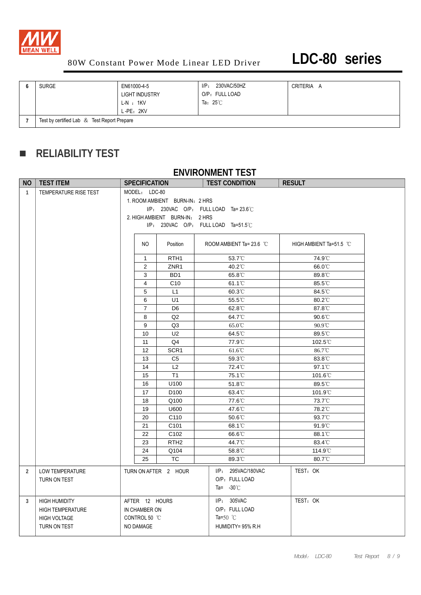

| <b>SURGE</b>                                | EN61000-4-5<br><b>LIGHT INDUSTRY</b><br>$L-N : 1KV$<br>L-PE: 2KV | 230VAC/50HZ<br>IP:<br>O/P: FULL LOAD<br>Ta: $25^{\circ}$ C | CRITERIA<br>$\overline{A}$ |
|---------------------------------------------|------------------------------------------------------------------|------------------------------------------------------------|----------------------------|
| Test by certified Lab & Test Report Prepare |                                                                  |                                                            |                            |

## **RELIABILITY TEST**

### **ENVIRONMENT TEST**

| NO.          | <b>TEST ITEM</b>        | <b>SPECIFICATION</b> |                                | <b>TEST CONDITION</b>                    | <b>RESULT</b>           |  |
|--------------|-------------------------|----------------------|--------------------------------|------------------------------------------|-------------------------|--|
| $\mathbf{1}$ | TEMPERATURE RISE TEST   | MODEL: LDC-80        |                                |                                          |                         |  |
|              |                         |                      | 1. ROOM AMBIENT BURN-IN: 2 HRS |                                          |                         |  |
|              |                         |                      |                                | $I/P$ : 230VAC O/P: FULL LOAD Ta= 23.6°C |                         |  |
|              |                         |                      | 2. HIGH AMBIENT BURN-IN: 2 HRS |                                          |                         |  |
|              |                         |                      |                                | $I/P$ : 230VAC O/P: FULL LOAD Ta=51.5°C  |                         |  |
|              |                         | NO                   | Position                       | ROOM AMBIENT Ta= 23.6 °C                 | HIGH AMBIENT Ta=51.5 °C |  |
|              |                         | $\mathbf{1}$         | RTH <sub>1</sub>               | 53.7°C                                   | 74.9°C                  |  |
|              |                         | 2                    | ZNR1                           | 40.2°C                                   | 66.0°C                  |  |
|              |                         | 3                    | BD <sub>1</sub>                | 65.8°C                                   | 89.8°C                  |  |
|              |                         | 4                    | C10                            | 61.1°C                                   | 85.5°C                  |  |
|              |                         | 5                    | L1                             | $60.3^{\circ}$                           | 84.5°C                  |  |
|              |                         | 6                    | U1                             | 55.5°C                                   | 80.2°C                  |  |
|              |                         | $\boldsymbol{7}$     | D <sub>6</sub>                 | 62.8°C                                   | 87.8°C                  |  |
|              |                         | 8                    | Q2                             | 64.7°C                                   | 90.6°C                  |  |
|              |                         | 9                    | Q3                             | $65.0\,^{\circ}\mathrm{C}$               | 90.9°C                  |  |
|              |                         | 10                   | U2                             | 64.5°C                                   | 89.5°C                  |  |
|              |                         | 11                   | Q4                             | 77.9°C                                   | 102.5°C                 |  |
|              |                         | 12                   | SCR <sub>1</sub>               | $61.6^{\circ}$ C                         | 86.7°C                  |  |
|              |                         | 13                   | C <sub>5</sub>                 | 59.3°C                                   | 83.8°C                  |  |
|              |                         | 14                   | L2                             | 72.4°C                                   | 97.1°C                  |  |
|              |                         | 15                   | T1                             | 75.1 <sup>°</sup> C                      | 101.6°C                 |  |
|              |                         | 16                   | U100                           | 51.8°C                                   | 89.5°C                  |  |
|              |                         | 17                   | D <sub>100</sub>               | 63.4°C                                   | 101.9°C                 |  |
|              |                         | 18                   | Q100                           | 77.6°C                                   | 73.7°C                  |  |
|              |                         | 19                   | U600                           | 47.6°C                                   | 78.2°C                  |  |
|              |                         | 20                   | C110                           | 50.6°C                                   | 93.7°C                  |  |
|              |                         | 21                   | C <sub>101</sub>               | 68.1°C                                   | $91.9^{\circ}$ C        |  |
|              |                         | 22                   | C <sub>102</sub>               | 66.6°C                                   | 88.1°C                  |  |
|              |                         | 23                   | RTH <sub>2</sub>               | 44.7°C                                   | 83.4°C                  |  |
|              |                         | 24                   | Q104                           | 58.8°C                                   | 114.9°C                 |  |
|              |                         | 25                   | <b>TC</b>                      | 89.3°C                                   | 80.7°C                  |  |
| 2            | <b>LOW TEMPERATURE</b>  |                      | TURN ON AFTER 2 HOUR           | I/P: 295VAC/180VAC                       | TEST: OK                |  |
|              | TURN ON TEST            |                      |                                | O/P: FULL LOAD                           |                         |  |
|              |                         |                      |                                | Ta= $-30^{\circ}$ C                      |                         |  |
| 3            | <b>HIGH HUMIDITY</b>    | AFTER 12 HOURS       |                                | I/P: 305VAC                              | TEST: OK                |  |
|              | <b>HIGH TEMPERATURE</b> | IN CHAMBER ON        |                                | O/P: FULL LOAD                           |                         |  |
|              | <b>HIGH VOLTAGE</b>     | CONTROL 50 °C        |                                | Ta=50 $^{\circ}$ C                       |                         |  |
|              | TURN ON TEST            | NO DAMAGE            |                                | HUMIDITY= 95% R.H                        |                         |  |
|              |                         |                      |                                |                                          |                         |  |